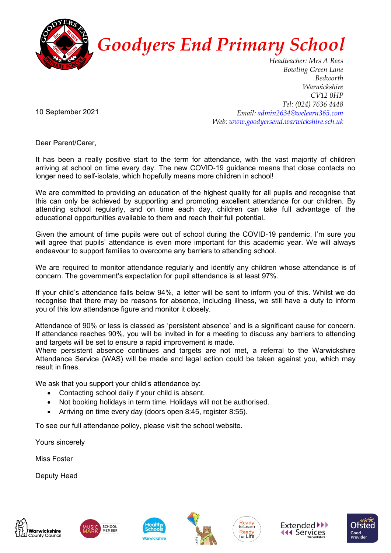

## *Goodyers End Primary School*

*Headteacher: Mrs A Rees Bowling Green Lane Bedworth Warwickshire CV12 0HP Tel: (024) 7636 4448 Email: admin2634@welearn365.com Web: www.goodyersend.warwickshire.sch.uk*

10 September 2021

Dear Parent/Carer,

It has been a really positive start to the term for attendance, with the vast majority of children arriving at school on time every day. The new COVID-19 guidance means that close contacts no longer need to self-isolate, which hopefully means more children in school!

We are committed to providing an education of the highest quality for all pupils and recognise that this can only be achieved by supporting and promoting excellent attendance for our children. By attending school regularly, and on time each day, children can take full advantage of the educational opportunities available to them and reach their full potential.

Given the amount of time pupils were out of school during the COVID-19 pandemic, I'm sure you will agree that pupils' attendance is even more important for this academic year. We will always endeavour to support families to overcome any barriers to attending school.

We are required to monitor attendance requiarly and identify any children whose attendance is of concern. The government's expectation for pupil attendance is at least 97%.

If your child's attendance falls below 94%, a letter will be sent to inform you of this. Whilst we do recognise that there may be reasons for absence, including illness, we still have a duty to inform you of this low attendance figure and monitor it closely.

Attendance of 90% or less is classed as 'persistent absence' and is a significant cause for concern. If attendance reaches 90%, you will be invited in for a meeting to discuss any barriers to attending and targets will be set to ensure a rapid improvement is made.

Where persistent absence continues and targets are not met, a referral to the Warwickshire Attendance Service (WAS) will be made and legal action could be taken against you, which may result in fines.

We ask that you support your child's attendance by:

- Contacting school daily if your child is absent.
- Not booking holidays in term time. Holidays will not be authorised.
- Arriving on time every day (doors open 8:45, register 8:55).

To see our full attendance policy, please visit the school website.

Yours sincerely

Miss Foster

Deputy Head